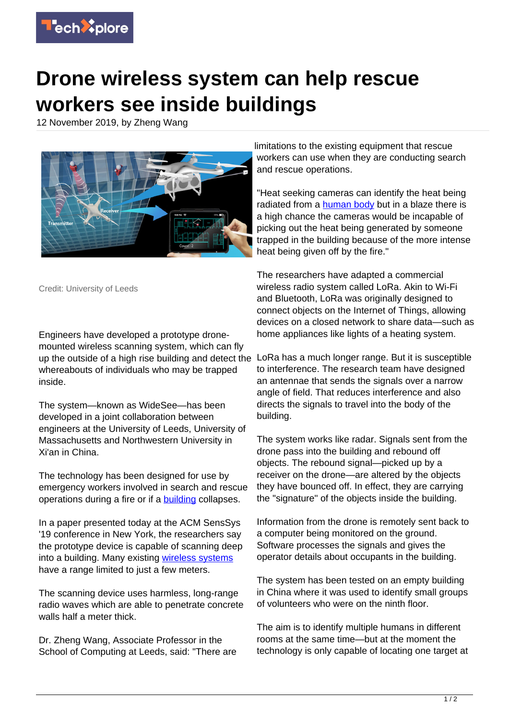

## **Drone wireless system can help rescue workers see inside buildings**

12 November 2019, by Zheng Wang



Credit: University of Leeds

Engineers have developed a prototype dronemounted wireless scanning system, which can fly up the outside of a high rise building and detect the whereabouts of individuals who may be trapped inside.

The system—known as WideSee—has been developed in a joint collaboration between engineers at the University of Leeds, University of Massachusetts and Northwestern University in Xi'an in China.

The technology has been designed for use by emergency workers involved in search and rescue operations during a fire or if a **building** collapses.

In a paper presented today at the ACM SensSys '19 conference in New York, the researchers say the prototype device is capable of scanning deep into a building. Many existing [wireless systems](https://techxplore.com/tags/wireless+systems/) have a range limited to just a few meters.

The scanning device uses harmless, long-range radio waves which are able to penetrate concrete walls half a meter thick

Dr. Zheng Wang, Associate Professor in the School of Computing at Leeds, said: "There are limitations to the existing equipment that rescue workers can use when they are conducting search and rescue operations.

"Heat seeking cameras can identify the heat being radiated from a [human body](https://techxplore.com/tags/human+body/) but in a blaze there is a high chance the cameras would be incapable of picking out the heat being generated by someone trapped in the building because of the more intense heat being given off by the fire."

The researchers have adapted a commercial wireless radio system called LoRa. Akin to Wi-Fi and Bluetooth, LoRa was originally designed to connect objects on the Internet of Things, allowing devices on a closed network to share data—such as home appliances like lights of a heating system.

LoRa has a much longer range. But it is susceptible to interference. The research team have designed an antennae that sends the signals over a narrow angle of field. That reduces interference and also directs the signals to travel into the body of the building.

The system works like radar. Signals sent from the drone pass into the building and rebound off objects. The rebound signal—picked up by a receiver on the drone—are altered by the objects they have bounced off. In effect, they are carrying the "signature" of the objects inside the building.

Information from the drone is remotely sent back to a computer being monitored on the ground. Software processes the signals and gives the operator details about occupants in the building.

The system has been tested on an empty building in China where it was used to identify small groups of volunteers who were on the ninth floor.

The aim is to identify multiple humans in different rooms at the same time—but at the moment the technology is only capable of locating one target at